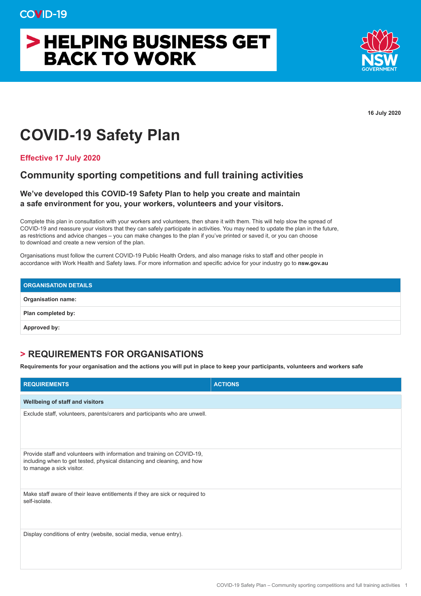# > HELPING BUSINESS GET **BACK TO WORK**



**16 July 2020**

## **COVID-19 Safety Plan**

**Effective 17 July 2020**

### **Community sporting competitions and full training activities**

#### **We've developed this COVID-19 Safety Plan to help you create and maintain a safe environment for you, your workers, volunteers and your visitors.**

Complete this plan in consultation with your workers and volunteers, then share it with them. This will help slow the spread of COVID-19 and reassure your visitors that they can safely participate in activities. You may need to update the plan in the future, as restrictions and advice changes – you can make changes to the plan if you've printed or saved it, or you can choose to download and create a new version of the plan.

Organisations must follow the current COVID-19 Public Health Orders, and also manage risks to staff and other people in accordance with Work Health and Safety laws. For more information and specific advice for your industry go to **nsw.gov.au**

| <b>ORGANISATION DETAILS</b> |  |
|-----------------------------|--|
| <b>Organisation name:</b>   |  |
| Plan completed by:          |  |
| Approved by:                |  |

### **> REQUIREMENTS FOR ORGANISATIONS**

**Requirements for your organisation and the actions you will put in place to keep your participants, volunteers and workers safe**

| <b>REQUIREMENTS</b>                                                                                                                                                             | <b>ACTIONS</b> |
|---------------------------------------------------------------------------------------------------------------------------------------------------------------------------------|----------------|
| Wellbeing of staff and visitors                                                                                                                                                 |                |
| Exclude staff, volunteers, parents/carers and participants who are unwell.                                                                                                      |                |
| Provide staff and volunteers with information and training on COVID-19,<br>including when to get tested, physical distancing and cleaning, and how<br>to manage a sick visitor. |                |
| Make staff aware of their leave entitlements if they are sick or required to<br>self-isolate.                                                                                   |                |
| Display conditions of entry (website, social media, venue entry).                                                                                                               |                |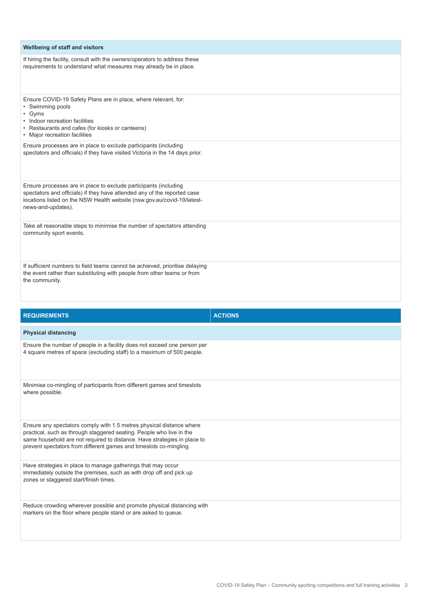| Wellbeing of staff and visitors                                                                                                                                                                                                                                                                |                |
|------------------------------------------------------------------------------------------------------------------------------------------------------------------------------------------------------------------------------------------------------------------------------------------------|----------------|
| If hiring the facility, consult with the owners/operators to address these<br>requirements to understand what measures may already be in place.                                                                                                                                                |                |
| Ensure COVID-19 Safety Plans are in place, where relevant, for:<br>• Swimming pools<br>• Gyms<br>• Indoor recreation facilities<br>• Restaurants and cafes (for kiosks or canteens)<br>• Major recreation facilities                                                                           |                |
| Ensure processes are in place to exclude participants (including<br>spectators and officials) if they have visited Victoria in the 14 days prior.                                                                                                                                              |                |
| Ensure processes are in place to exclude participants (including<br>spectators and officials) if they have attended any of the reported case<br>locations listed on the NSW Health website (nsw.gov.au/covid-19/latest-<br>news-and-updates).                                                  |                |
| Take all reasonable steps to minimise the number of spectators attending<br>community sport events.                                                                                                                                                                                            |                |
| If sufficient numbers to field teams cannot be achieved, prioritise delaying<br>the event rather than substituting with people from other teams or from<br>the community.                                                                                                                      |                |
| <b>REQUIREMENTS</b>                                                                                                                                                                                                                                                                            | <b>ACTIONS</b> |
| <b>Physical distancing</b>                                                                                                                                                                                                                                                                     |                |
| Ensure the number of people in a facility does not exceed one person per<br>4 square metres of space (excluding staff) to a maximum of 500 people.                                                                                                                                             |                |
| Minimise co-mingling of participants from different games and timeslots<br>where possible.                                                                                                                                                                                                     |                |
| Ensure any spectators comply with 1.5 metres physical distance where<br>practical, such as through staggered seating. People who live in the<br>same household are not required to distance. Have strategies in place to<br>prevent spectators from different games and timeslots co-mingling. |                |
| Have strategies in place to manage gatherings that may occur                                                                                                                                                                                                                                   |                |

immediately outside the premises, such as with drop off and pick up

markers on the floor where people stand or are asked to queue.

Reduce crowding wherever possible and promote physical distancing with

zones or staggered start/finish times.

COVID-19 Safety Plan – Community sporting competitions and full training activities 2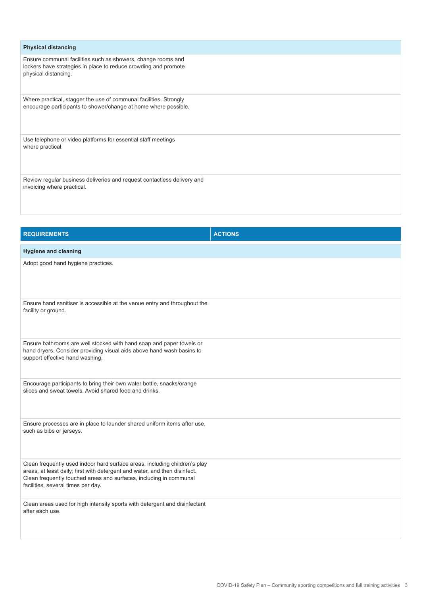| <b>Physical distancing</b>                                                                                                                              |  |
|---------------------------------------------------------------------------------------------------------------------------------------------------------|--|
| Ensure communal facilities such as showers, change rooms and<br>lockers have strategies in place to reduce crowding and promote<br>physical distancing. |  |
| Where practical, stagger the use of communal facilities. Strongly<br>encourage participants to shower/change at home where possible.                    |  |
| Use telephone or video platforms for essential staff meetings<br>where practical.                                                                       |  |
| Review regular business deliveries and request contactless delivery and<br>invoicing where practical.                                                   |  |

| <b>REQUIREMENTS</b>                                                                                                                                                                                                                                                  | <b>ACTIONS</b> |
|----------------------------------------------------------------------------------------------------------------------------------------------------------------------------------------------------------------------------------------------------------------------|----------------|
| <b>Hygiene and cleaning</b>                                                                                                                                                                                                                                          |                |
| Adopt good hand hygiene practices.                                                                                                                                                                                                                                   |                |
| Ensure hand sanitiser is accessible at the venue entry and throughout the<br>facility or ground.                                                                                                                                                                     |                |
| Ensure bathrooms are well stocked with hand soap and paper towels or<br>hand dryers. Consider providing visual aids above hand wash basins to<br>support effective hand washing.                                                                                     |                |
| Encourage participants to bring their own water bottle, snacks/orange<br>slices and sweat towels. Avoid shared food and drinks.                                                                                                                                      |                |
| Ensure processes are in place to launder shared uniform items after use,<br>such as bibs or jerseys.                                                                                                                                                                 |                |
| Clean frequently used indoor hard surface areas, including children's play<br>areas, at least daily; first with detergent and water, and then disinfect.<br>Clean frequently touched areas and surfaces, including in communal<br>facilities, several times per day. |                |
| Clean areas used for high intensity sports with detergent and disinfectant<br>after each use.                                                                                                                                                                        |                |